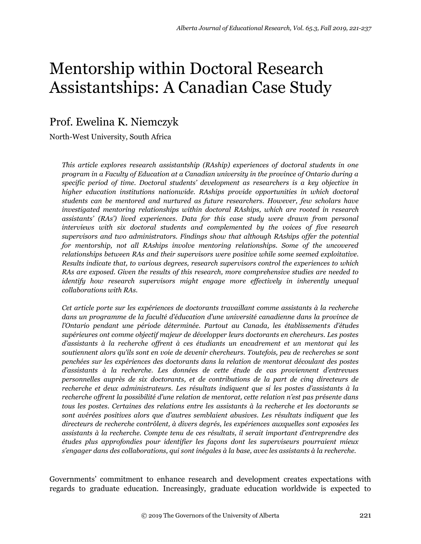# Mentorship within Doctoral Research Assistantships: A Canadian Case Study

# Prof. Ewelina K. Niemczyk

North-West University, South Africa

*This article explores research assistantship (RAship) experiences of doctoral students in one program in a Faculty of Education at a Canadian university in the province of Ontario during a specific period of time. Doctoral students' development as researchers is a key objective in higher education institutions nationwide. RAships provide opportunities in which doctoral students can be mentored and nurtured as future researchers. However, few scholars have investigated mentoring relationships within doctoral RAships, which are rooted in research assistants' (RAs') lived experiences. Data for this case study were drawn from personal interviews with six doctoral students and complemented by the voices of five research supervisors and two administrators. Findings show that although RAships offer the potential for mentorship, not all RAships involve mentoring relationships. Some of the uncovered relationships between RAs and their supervisors were positive while some seemed exploitative. Results indicate that, to various degrees, research supervisors control the experiences to which RAs are exposed. Given the results of this research, more comprehensive studies are needed to identify how research supervisors might engage more effectively in inherently unequal collaborations with RAs.*

*Cet article porte sur les expériences de doctorants travaillant comme assistants à la recherche dans un programme de la faculté d'éducation d'une université canadienne dans la province de l'Ontario pendant une période déterminée. Partout au Canada, les établissements d'études supérieures ont comme objectif majeur de développer leurs doctorants en chercheurs. Les postes d'assistants à la recherche offrent à ces étudiants un encadrement et un mentorat qui les soutiennent alors qu'ils sont en voie de devenir chercheurs. Toutefois, peu de recherches se sont penchées sur les expériences des doctorants dans la relation de mentorat découlant des postes d'assistants à la recherche. Les données de cette étude de cas proviennent d'entrevues personnelles auprès de six doctorants, et de contributions de la part de cinq directeurs de recherche et deux administrateurs. Les résultats indiquent que si les postes d'assistants à la recherche offrent la possibilité d'une relation de mentorat, cette relation n'est pas présente dans tous les postes. Certaines des relations entre les assistants à la recherche et les doctorants se sont avérées positives alors que d'autres semblaient abusives. Les résultats indiquent que les directeurs de recherche contrôlent, à divers degrés, les expériences auxquelles sont exposées les assistants à la recherche. Compte tenu de ces résultats, il serait important d'entreprendre des études plus approfondies pour identifier les façons dont les superviseurs pourraient mieux s'engager dans des collaborations, qui sont inégales à la base, avec les assistants à la recherche.*

Governments' commitment to enhance research and development creates expectations with regards to graduate education. Increasingly, graduate education worldwide is expected to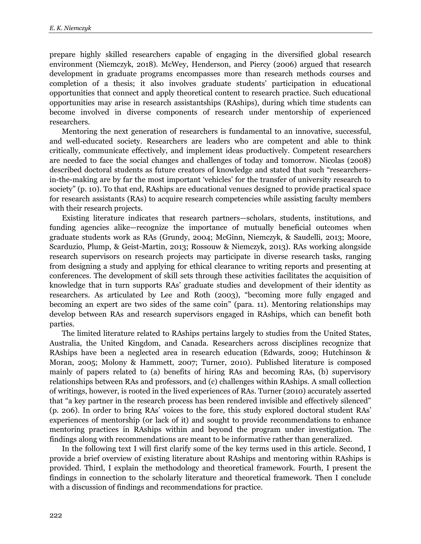prepare highly skilled researchers capable of engaging in the diversified global research environment (Niemczyk, 2018). McWey, Henderson, and Piercy (2006) argued that research development in graduate programs encompasses more than research methods courses and completion of a thesis; it also involves graduate students' participation in educational opportunities that connect and apply theoretical content to research practice. Such educational opportunities may arise in research assistantships (RAships), during which time students can become involved in diverse components of research under mentorship of experienced researchers.

Mentoring the next generation of researchers is fundamental to an innovative, successful, and well-educated society. Researchers are leaders who are competent and able to think critically, communicate effectively, and implement ideas productively. Competent researchers are needed to face the social changes and challenges of today and tomorrow. Nicolas (2008) described doctoral students as future creators of knowledge and stated that such "researchersin-the-making are by far the most important 'vehicles' for the transfer of university research to society" (p. 10). To that end, RAships are educational venues designed to provide practical space for research assistants (RAs) to acquire research competencies while assisting faculty members with their research projects.

Existing literature indicates that research partners—scholars, students, institutions, and funding agencies alike—recognize the importance of mutually beneficial outcomes when graduate students work as RAs (Grundy, 2004; McGinn, Niemczyk, & Saudelli, 2013; Moore, Scarduzio, Plump, & Geist-Martin, 2013; Rossouw & Niemczyk, 2013). RAs working alongside research supervisors on research projects may participate in diverse research tasks, ranging from designing a study and applying for ethical clearance to writing reports and presenting at conferences. The development of skill sets through these activities facilitates the acquisition of knowledge that in turn supports RAs' graduate studies and development of their identity as researchers. As articulated by Lee and Roth (2003), "becoming more fully engaged and becoming an expert are two sides of the same coin" (para. 11). Mentoring relationships may develop between RAs and research supervisors engaged in RAships, which can benefit both parties.

The limited literature related to RAships pertains largely to studies from the United States, Australia, the United Kingdom, and Canada. Researchers across disciplines recognize that RAships have been a neglected area in research education (Edwards, 2009; Hutchinson & Moran, 2005; Molony & Hammett, 2007; Turner, 2010). Published literature is composed mainly of papers related to (a) benefits of hiring RAs and becoming RAs, (b) supervisory relationships between RAs and professors, and (c) challenges within RAships. A small collection of writings, however, is rooted in the lived experiences of RAs. Turner (2010) accurately asserted that "a key partner in the research process has been rendered invisible and effectively silenced" (p. 206). In order to bring RAs' voices to the fore, this study explored doctoral student RAs' experiences of mentorship (or lack of it) and sought to provide recommendations to enhance mentoring practices in RAships within and beyond the program under investigation. The findings along with recommendations are meant to be informative rather than generalized.

In the following text I will first clarify some of the key terms used in this article. Second, I provide a brief overview of existing literature about RAships and mentoring within RAships is provided. Third, I explain the methodology and theoretical framework. Fourth, I present the findings in connection to the scholarly literature and theoretical framework. Then I conclude with a discussion of findings and recommendations for practice.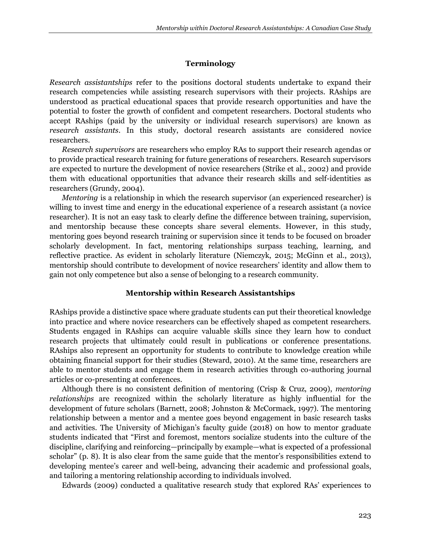### **Terminology**

*Research assistantships* refer to the positions doctoral students undertake to expand their research competencies while assisting research supervisors with their projects. RAships are understood as practical educational spaces that provide research opportunities and have the potential to foster the growth of confident and competent researchers. Doctoral students who accept RAships (paid by the university or individual research supervisors) are known as *research assistants*. In this study, doctoral research assistants are considered novice researchers.

*Research supervisors* are researchers who employ RAs to support their research agendas or to provide practical research training for future generations of researchers. Research supervisors are expected to nurture the development of novice researchers (Strike et al., 2002) and provide them with educational opportunities that advance their research skills and self-identities as researchers (Grundy, 2004).

*Mentoring* is a relationship in which the research supervisor (an experienced researcher) is willing to invest time and energy in the educational experience of a research assistant (a novice researcher). It is not an easy task to clearly define the difference between training, supervision, and mentorship because these concepts share several elements. However, in this study, mentoring goes beyond research training or supervision since it tends to be focused on broader scholarly development. In fact, mentoring relationships surpass teaching, learning, and reflective practice. As evident in scholarly literature (Niemczyk, 2015; McGinn et al., 2013), mentorship should contribute to development of novice researchers' identity and allow them to gain not only competence but also a sense of belonging to a research community.

#### **Mentorship within Research Assistantships**

RAships provide a distinctive space where graduate students can put their theoretical knowledge into practice and where novice researchers can be effectively shaped as competent researchers. Students engaged in RAships can acquire valuable skills since they learn how to conduct research projects that ultimately could result in publications or conference presentations. RAships also represent an opportunity for students to contribute to knowledge creation while obtaining financial support for their studies (Steward, 2010). At the same time, researchers are able to mentor students and engage them in research activities through co-authoring journal articles or co-presenting at conferences.

Although there is no consistent definition of mentoring (Crisp & Cruz, 2009), *mentoring relationships* are recognized within the scholarly literature as highly influential for the development of future scholars (Barnett, 2008; Johnston & McCormack, 1997). The mentoring relationship between a mentor and a mentee goes beyond engagement in basic research tasks and activities. The University of Michigan's faculty guide (2018) on how to mentor graduate students indicated that "First and foremost, mentors socialize students into the culture of the discipline, clarifying and reinforcing—principally by example—what is expected of a professional scholar" (p. 8). It is also clear from the same guide that the mentor's responsibilities extend to developing mentee's career and well-being, advancing their academic and professional goals, and tailoring a mentoring relationship according to individuals involved.

Edwards (2009) conducted a qualitative research study that explored RAs' experiences to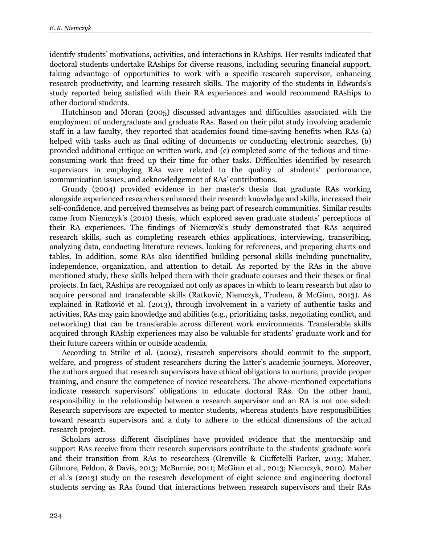identify students' motivations, activities, and interactions in RAships. Her results indicated that doctoral students undertake RAships for diverse reasons, including securing financial support, taking advantage of opportunities to work with a specific research supervisor, enhancing research productivity, and learning research skills. The majority of the students in Edwards's study reported being satisfied with their RA experiences and would recommend RAships to other doctoral students.

Hutchinson and Moran (2005) discussed advantages and difficulties associated with the employment of undergraduate and graduate RAs. Based on their pilot study involving academic staff in a law faculty, they reported that academics found time-saving benefits when RAs (a) helped with tasks such as final editing of documents or conducting electronic searches, (b) provided additional critique on written work, and (c) completed some of the tedious and timeconsuming work that freed up their time for other tasks. Difficulties identified by research supervisors in employing RAs were related to the quality of students' performance, communication issues, and acknowledgement of RAs' contributions.

Grundy (2004) provided evidence in her master's thesis that graduate RAs working alongside experienced researchers enhanced their research knowledge and skills, increased their self-confidence, and perceived themselves as being part of research communities. Similar results came from Niemczyk's (2010) thesis, which explored seven graduate students' perceptions of their RA experiences. The findings of Niemczyk's study demonstrated that RAs acquired research skills, such as completing research ethics applications, interviewing, transcribing, analyzing data, conducting literature reviews, looking for references, and preparing charts and tables. In addition, some RAs also identified building personal skills including punctuality, independence, organization, and attention to detail. As reported by the RAs in the above mentioned study, these skills helped them with their graduate courses and their theses or final projects. In fact, RAships are recognized not only as spaces in which to learn research but also to acquire personal and transferable skills (Ratković, Niemczyk, Trudeau, & McGinn, 2013). As explained in Ratković et al. (2013), through involvement in a variety of authentic tasks and activities, RAs may gain knowledge and abilities (e.g., prioritizing tasks, negotiating conflict, and networking) that can be transferable across different work environments. Transferable skills acquired through RAship experiences may also be valuable for students' graduate work and for their future careers within or outside academia.

According to Strike et al. (2002), research supervisors should commit to the support, welfare, and progress of student researchers during the latter's academic journeys. Moreover, the authors argued that research supervisors have ethical obligations to nurture, provide proper training, and ensure the competence of novice researchers. The above-mentioned expectations indicate research supervisors' obligations to educate doctoral RAs. On the other hand, responsibility in the relationship between a research supervisor and an RA is not one sided: Research supervisors are expected to mentor students, whereas students have responsibilities toward research supervisors and a duty to adhere to the ethical dimensions of the actual research project.

Scholars across different disciplines have provided evidence that the mentorship and support RAs receive from their research supervisors contribute to the students' graduate work and their transition from RAs to researchers (Grenville & Ciuffetelli Parker, 2013; Maher, Gilmore, Feldon, & Davis, 2013; McBurnie, 2011; McGinn et al., 2013; Niemczyk, 2010). Maher et al.'s (2013) study on the research development of eight science and engineering doctoral students serving as RAs found that interactions between research supervisors and their RAs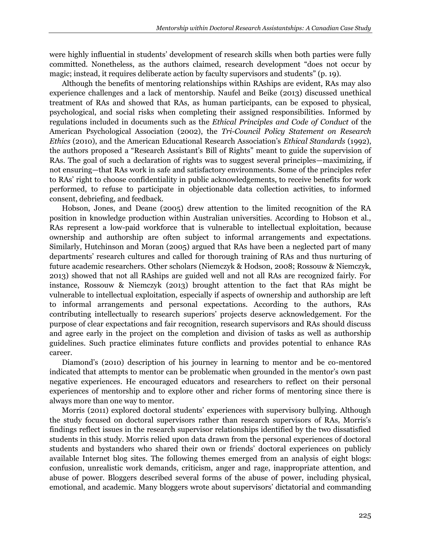were highly influential in students' development of research skills when both parties were fully committed. Nonetheless, as the authors claimed, research development "does not occur by magic; instead, it requires deliberate action by faculty supervisors and students" (p. 19).

Although the benefits of mentoring relationships within RAships are evident, RAs may also experience challenges and a lack of mentorship. Naufel and Beike (2013) discussed unethical treatment of RAs and showed that RAs, as human participants, can be exposed to physical, psychological, and social risks when completing their assigned responsibilities. Informed by regulations included in documents such as the *Ethical Principles and Code of Conduct* of the American Psychological Association (2002), the *Tri-Council Policy Statement on Research Ethics* (2010), and the American Educational Research Association's *Ethical Standards* (1992), the authors proposed a "Research Assistant's Bill of Rights" meant to guide the supervision of RAs. The goal of such a declaration of rights was to suggest several principles—maximizing, if not ensuring—that RAs work in safe and satisfactory environments. Some of the principles refer to RAs' right to choose confidentiality in public acknowledgements, to receive benefits for work performed, to refuse to participate in objectionable data collection activities, to informed consent, debriefing, and feedback.

Hobson, Jones, and Deane (2005) drew attention to the limited recognition of the RA position in knowledge production within Australian universities. According to Hobson et al., RAs represent a low-paid workforce that is vulnerable to intellectual exploitation, because ownership and authorship are often subject to informal arrangements and expectations. Similarly, Hutchinson and Moran (2005) argued that RAs have been a neglected part of many departments' research cultures and called for thorough training of RAs and thus nurturing of future academic researchers. Other scholars (Niemczyk & Hodson, 2008; Rossouw & Niemczyk, 2013) showed that not all RAships are guided well and not all RAs are recognized fairly. For instance, Rossouw & Niemczyk (2013) brought attention to the fact that RAs might be vulnerable to intellectual exploitation, especially if aspects of ownership and authorship are left to informal arrangements and personal expectations. According to the authors, RAs contributing intellectually to research superiors' projects deserve acknowledgement. For the purpose of clear expectations and fair recognition, research supervisors and RAs should discuss and agree early in the project on the completion and division of tasks as well as authorship guidelines. Such practice eliminates future conflicts and provides potential to enhance RAs career.

Diamond's (2010) description of his journey in learning to mentor and be co-mentored indicated that attempts to mentor can be problematic when grounded in the mentor's own past negative experiences. He encouraged educators and researchers to reflect on their personal experiences of mentorship and to explore other and richer forms of mentoring since there is always more than one way to mentor.

Morris (2011) explored doctoral students' experiences with supervisory bullying. Although the study focused on doctoral supervisors rather than research supervisors of RAs, Morris's findings reflect issues in the research supervisor relationships identified by the two dissatisfied students in this study. Morris relied upon data drawn from the personal experiences of doctoral students and bystanders who shared their own or friends' doctoral experiences on publicly available Internet blog sites. The following themes emerged from an analysis of eight blogs: confusion, unrealistic work demands, criticism, anger and rage, inappropriate attention, and abuse of power. Bloggers described several forms of the abuse of power, including physical, emotional, and academic. Many bloggers wrote about supervisors' dictatorial and commanding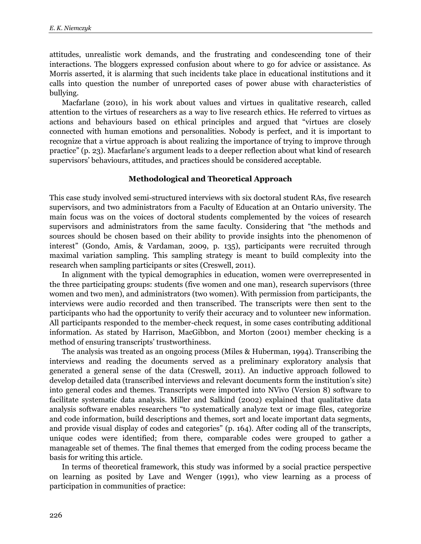attitudes, unrealistic work demands, and the frustrating and condescending tone of their interactions. The bloggers expressed confusion about where to go for advice or assistance. As Morris asserted, it is alarming that such incidents take place in educational institutions and it calls into question the number of unreported cases of power abuse with characteristics of bullying.

Macfarlane (2010), in his work about values and virtues in qualitative research, called attention to the virtues of researchers as a way to live research ethics. He referred to virtues as actions and behaviours based on ethical principles and argued that "virtues are closely connected with human emotions and personalities. Nobody is perfect, and it is important to recognize that a virtue approach is about realizing the importance of trying to improve through practice" (p. 23). Macfarlane's argument leads to a deeper reflection about what kind of research supervisors' behaviours, attitudes, and practices should be considered acceptable.

#### **Methodological and Theoretical Approach**

This case study involved semi-structured interviews with six doctoral student RAs, five research supervisors, and two administrators from a Faculty of Education at an Ontario university. The main focus was on the voices of doctoral students complemented by the voices of research supervisors and administrators from the same faculty. Considering that "the methods and sources should be chosen based on their ability to provide insights into the phenomenon of interest" (Gondo, Amis, & Vardaman, 2009, p. 135), participants were recruited through maximal variation sampling. This sampling strategy is meant to build complexity into the research when sampling participants or sites (Creswell, 2011).

In alignment with the typical demographics in education, women were overrepresented in the three participating groups: students (five women and one man), research supervisors (three women and two men), and administrators (two women). With permission from participants, the interviews were audio recorded and then transcribed. The transcripts were then sent to the participants who had the opportunity to verify their accuracy and to volunteer new information. All participants responded to the member-check request, in some cases contributing additional information. As stated by Harrison, MacGibbon, and Morton (2001) member checking is a method of ensuring transcripts' trustworthiness.

The analysis was treated as an ongoing process (Miles & Huberman, 1994). Transcribing the interviews and reading the documents served as a preliminary exploratory analysis that generated a general sense of the data (Creswell, 2011). An inductive approach followed to develop detailed data (transcribed interviews and relevant documents form the institution's site) into general codes and themes. Transcripts were imported into NVivo (Version 8) software to facilitate systematic data analysis. Miller and Salkind (2002) explained that qualitative data analysis software enables researchers "to systematically analyze text or image files, categorize and code information, build descriptions and themes, sort and locate important data segments, and provide visual display of codes and categories" (p. 164). After coding all of the transcripts, unique codes were identified; from there, comparable codes were grouped to gather a manageable set of themes. The final themes that emerged from the coding process became the basis for writing this article.

In terms of theoretical framework, this study was informed by a social practice perspective on learning as posited by Lave and Wenger (1991), who view learning as a process of participation in communities of practice: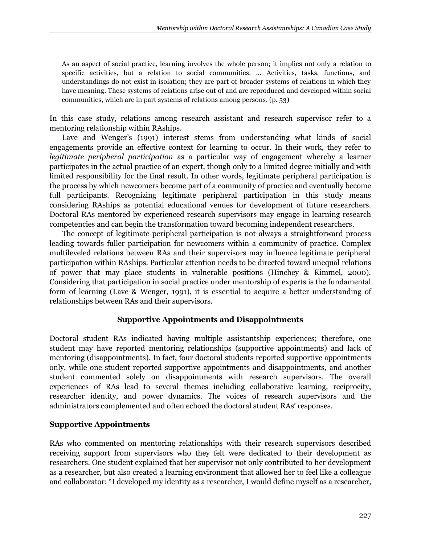As an aspect of social practice, learning involves the whole person; it implies not only a relation to specific activities, but a relation to social communities. ... Activities, tasks, functions, and understandings do not exist in isolation; they are part of broader systems of relations in which they have meaning. These systems of relations arise out of and are reproduced and developed within social communities, which are in part systems of relations among persons. (p. 53)

In this case study, relations among research assistant and research supervisor refer to a mentoring relationship within RAships.

Lave and Wenger's (1991) interest stems from understanding what kinds of social engagements provide an effective context for learning to occur. In their work, they refer to *legitimate peripheral participation* as a particular way of engagement whereby a learner participates in the actual practice of an expert, though only to a limited degree initially and with limited responsibility for the final result. In other words, legitimate peripheral participation is the process by which newcomers become part of a community of practice and eventually become full participants. Recognizing legitimate peripheral participation in this study means considering RAships as potential educational venues for development of future researchers. Doctoral RAs mentored by experienced research supervisors may engage in learning research competencies and can begin the transformation toward becoming independent researchers.

The concept of legitimate peripheral participation is not always a straightforward process leading towards fuller participation for newcomers within a community of practice. Complex multileveled relations between RAs and their supervisors may influence legitimate peripheral participation within RAships. Particular attention needs to be directed toward unequal relations of power that may place students in vulnerable positions (Hinchey & Kimmel, 2000). Considering that participation in social practice under mentorship of experts is the fundamental form of learning (Lave & Wenger, 1991), it is essential to acquire a better understanding of relationships between RAs and their supervisors.

# **Supportive Appointments and Disappointments**

Doctoral student RAs indicated having multiple assistantship experiences; therefore, one student may have reported mentoring relationships (supportive appointments) and lack of mentoring (disappointments). In fact, four doctoral students reported supportive appointments only, while one student reported supportive appointments and disappointments, and another student commented solely on disappointments with research supervisors. The overall experiences of RAs lead to several themes including collaborative learning, reciprocity, researcher identity, and power dynamics. The voices of research supervisors and the administrators complemented and often echoed the doctoral student RAs' responses.

# **Supportive Appointments**

RAs who commented on mentoring relationships with their research supervisors described receiving support from supervisors who they felt were dedicated to their development as researchers. One student explained that her supervisor not only contributed to her development as a researcher, but also created a learning environment that allowed her to feel like a colleague and collaborator: "I developed my identity as a researcher, I would define myself as a researcher,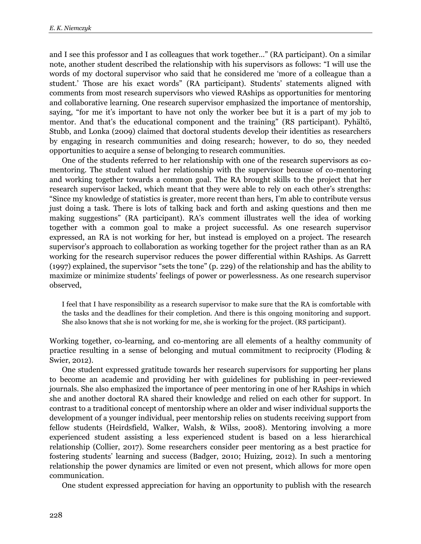and I see this professor and I as colleagues that work together…" (RA participant). On a similar note, another student described the relationship with his supervisors as follows: "I will use the words of my doctoral supervisor who said that he considered me 'more of a colleague than a student.' Those are his exact words" (RA participant). Students' statements aligned with comments from most research supervisors who viewed RAships as opportunities for mentoring and collaborative learning. One research supervisor emphasized the importance of mentorship, saying, "for me it's important to have not only the worker bee but it is a part of my job to mentor. And that's the educational component and the training" (RS participant). Pyhältö, Stubb, and Lonka (2009) claimed that doctoral students develop their identities as researchers by engaging in research communities and doing research; however, to do so, they needed opportunities to acquire a sense of belonging to research communities.

One of the students referred to her relationship with one of the research supervisors as comentoring. The student valued her relationship with the supervisor because of co-mentoring and working together towards a common goal. The RA brought skills to the project that her research supervisor lacked, which meant that they were able to rely on each other's strengths: "Since my knowledge of statistics is greater, more recent than hers, I'm able to contribute versus just doing a task. There is lots of talking back and forth and asking questions and then me making suggestions" (RA participant). RA's comment illustrates well the idea of working together with a common goal to make a project successful. As one research supervisor expressed, an RA is not working for her, but instead is employed on a project. The research supervisor's approach to collaboration as working together for the project rather than as an RA working for the research supervisor reduces the power differential within RAships. As Garrett (1997) explained, the supervisor "sets the tone" (p. 229) of the relationship and has the ability to maximize or minimize students' feelings of power or powerlessness. As one research supervisor observed,

I feel that I have responsibility as a research supervisor to make sure that the RA is comfortable with the tasks and the deadlines for their completion. And there is this ongoing monitoring and support. She also knows that she is not working for me, she is working for the project. (RS participant).

Working together, co-learning, and co-mentoring are all elements of a healthy community of practice resulting in a sense of belonging and mutual commitment to reciprocity (Floding & Swier, 2012).

One student expressed gratitude towards her research supervisors for supporting her plans to become an academic and providing her with guidelines for publishing in peer-reviewed journals. She also emphasized the importance of peer mentoring in one of her RAships in which she and another doctoral RA shared their knowledge and relied on each other for support. In contrast to a traditional concept of mentorship where an older and wiser individual supports the development of a younger individual, peer mentorship relies on students receiving support from fellow students (Heirdsfield, Walker, Walsh, & Wilss, 2008). Mentoring involving a more experienced student assisting a less experienced student is based on a less hierarchical relationship (Collier, 2017). Some researchers consider peer mentoring as a best practice for fostering students' learning and success (Badger, 2010; Huizing, 2012). In such a mentoring relationship the power dynamics are limited or even not present, which allows for more open communication.

One student expressed appreciation for having an opportunity to publish with the research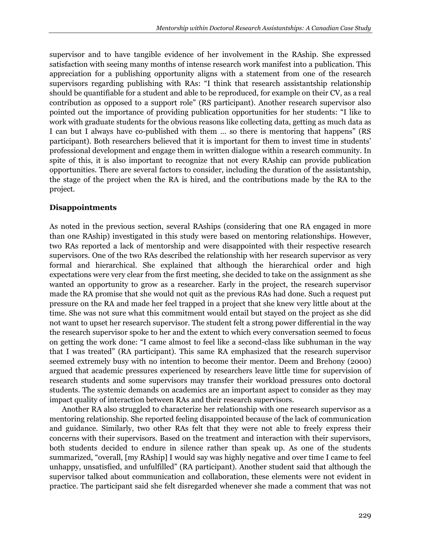supervisor and to have tangible evidence of her involvement in the RAship. She expressed satisfaction with seeing many months of intense research work manifest into a publication. This appreciation for a publishing opportunity aligns with a statement from one of the research supervisors regarding publishing with RAs: "I think that research assistantship relationship should be quantifiable for a student and able to be reproduced, for example on their CV, as a real contribution as opposed to a support role" (RS participant). Another research supervisor also pointed out the importance of providing publication opportunities for her students: "I like to work with graduate students for the obvious reasons like collecting data, getting as much data as I can but I always have co-published with them … so there is mentoring that happens" (RS participant). Both researchers believed that it is important for them to invest time in students' professional development and engage them in written dialogue within a research community. In spite of this, it is also important to recognize that not every RAship can provide publication opportunities. There are several factors to consider, including the duration of the assistantship, the stage of the project when the RA is hired, and the contributions made by the RA to the project.

## **Disappointments**

As noted in the previous section, several RAships (considering that one RA engaged in more than one RAship) investigated in this study were based on mentoring relationships. However, two RAs reported a lack of mentorship and were disappointed with their respective research supervisors. One of the two RAs described the relationship with her research supervisor as very formal and hierarchical. She explained that although the hierarchical order and high expectations were very clear from the first meeting, she decided to take on the assignment as she wanted an opportunity to grow as a researcher. Early in the project, the research supervisor made the RA promise that she would not quit as the previous RAs had done. Such a request put pressure on the RA and made her feel trapped in a project that she knew very little about at the time. She was not sure what this commitment would entail but stayed on the project as she did not want to upset her research supervisor. The student felt a strong power differential in the way the research supervisor spoke to her and the extent to which every conversation seemed to focus on getting the work done: "I came almost to feel like a second-class like subhuman in the way that I was treated" (RA participant). This same RA emphasized that the research supervisor seemed extremely busy with no intention to become their mentor. Deem and Brehony (2000) argued that academic pressures experienced by researchers leave little time for supervision of research students and some supervisors may transfer their workload pressures onto doctoral students. The systemic demands on academics are an important aspect to consider as they may impact quality of interaction between RAs and their research supervisors.

Another RA also struggled to characterize her relationship with one research supervisor as a mentoring relationship. She reported feeling disappointed because of the lack of communication and guidance. Similarly, two other RAs felt that they were not able to freely express their concerns with their supervisors. Based on the treatment and interaction with their supervisors, both students decided to endure in silence rather than speak up. As one of the students summarized, "overall, [my RAship] I would say was highly negative and over time I came to feel unhappy, unsatisfied, and unfulfilled" (RA participant). Another student said that although the supervisor talked about communication and collaboration, these elements were not evident in practice. The participant said she felt disregarded whenever she made a comment that was not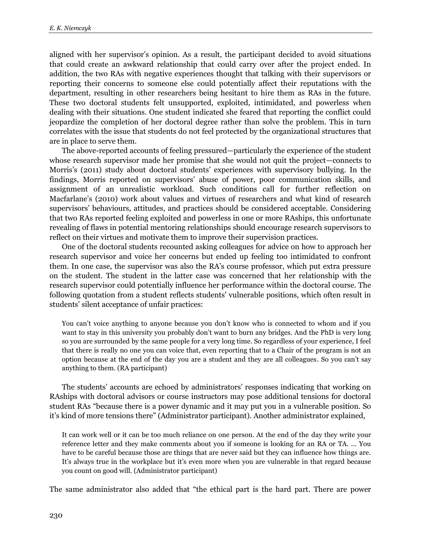aligned with her supervisor's opinion. As a result, the participant decided to avoid situations that could create an awkward relationship that could carry over after the project ended. In addition, the two RAs with negative experiences thought that talking with their supervisors or reporting their concerns to someone else could potentially affect their reputations with the department, resulting in other researchers being hesitant to hire them as RAs in the future. These two doctoral students felt unsupported, exploited, intimidated, and powerless when dealing with their situations. One student indicated she feared that reporting the conflict could jeopardize the completion of her doctoral degree rather than solve the problem. This in turn correlates with the issue that students do not feel protected by the organizational structures that are in place to serve them.

The above-reported accounts of feeling pressured—particularly the experience of the student whose research supervisor made her promise that she would not quit the project—connects to Morris's (2011) study about doctoral students' experiences with supervisory bullying. In the findings, Morris reported on supervisors' abuse of power, poor communication skills, and assignment of an unrealistic workload. Such conditions call for further reflection on Macfarlane's (2010) work about values and virtues of researchers and what kind of research supervisors' behaviours, attitudes, and practices should be considered acceptable. Considering that two RAs reported feeling exploited and powerless in one or more RAships, this unfortunate revealing of flaws in potential mentoring relationships should encourage research supervisors to reflect on their virtues and motivate them to improve their supervision practices.

One of the doctoral students recounted asking colleagues for advice on how to approach her research supervisor and voice her concerns but ended up feeling too intimidated to confront them. In one case, the supervisor was also the RA's course professor, which put extra pressure on the student. The student in the latter case was concerned that her relationship with the research supervisor could potentially influence her performance within the doctoral course. The following quotation from a student reflects students' vulnerable positions, which often result in students' silent acceptance of unfair practices:

You can't voice anything to anyone because you don't know who is connected to whom and if you want to stay in this university you probably don't want to burn any bridges. And the PhD is very long so you are surrounded by the same people for a very long time. So regardless of your experience, I feel that there is really no one you can voice that, even reporting that to a Chair of the program is not an option because at the end of the day you are a student and they are all colleagues. So you can't say anything to them. (RA participant)

The students' accounts are echoed by administrators' responses indicating that working on RAships with doctoral advisors or course instructors may pose additional tensions for doctoral student RAs "because there is a power dynamic and it may put you in a vulnerable position. So it's kind of more tensions there" (Administrator participant). Another administrator explained,

It can work well or it can be too much reliance on one person. At the end of the day they write your reference letter and they make comments about you if someone is looking for an RA or TA. ... You have to be careful because those are things that are never said but they can influence how things are. It's always true in the workplace but it's even more when you are vulnerable in that regard because you count on good will. (Administrator participant)

The same administrator also added that "the ethical part is the hard part. There are power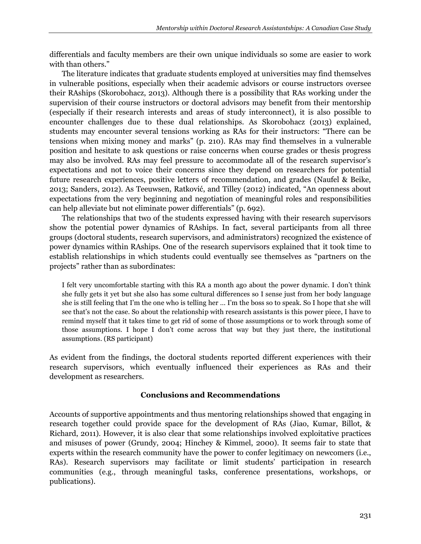differentials and faculty members are their own unique individuals so some are easier to work with than others."

The literature indicates that graduate students employed at universities may find themselves in vulnerable positions, especially when their academic advisors or course instructors oversee their RAships (Skorobohacz, 2013). Although there is a possibility that RAs working under the supervision of their course instructors or doctoral advisors may benefit from their mentorship (especially if their research interests and areas of study interconnect), it is also possible to encounter challenges due to these dual relationships. As Skorobohacz (2013) explained, students may encounter several tensions working as RAs for their instructors: "There can be tensions when mixing money and marks" (p. 210). RAs may find themselves in a vulnerable position and hesitate to ask questions or raise concerns when course grades or thesis progress may also be involved. RAs may feel pressure to accommodate all of the research supervisor's expectations and not to voice their concerns since they depend on researchers for potential future research experiences, positive letters of recommendation, and grades (Naufel & Beike, 2013; Sanders, 2012). As Teeuwsen, Ratković, and Tilley (2012) indicated, "An openness about expectations from the very beginning and negotiation of meaningful roles and responsibilities can help alleviate but not eliminate power differentials" (p. 692).

The relationships that two of the students expressed having with their research supervisors show the potential power dynamics of RAships. In fact, several participants from all three groups (doctoral students, research supervisors, and administrators) recognized the existence of power dynamics within RAships. One of the research supervisors explained that it took time to establish relationships in which students could eventually see themselves as "partners on the projects" rather than as subordinates:

I felt very uncomfortable starting with this RA a month ago about the power dynamic. I don't think she fully gets it yet but she also has some cultural differences so I sense just from her body language she is still feeling that I'm the one who is telling her … I'm the boss so to speak. So I hope that she will see that's not the case. So about the relationship with research assistants is this power piece, I have to remind myself that it takes time to get rid of some of those assumptions or to work through some of those assumptions. I hope I don't come across that way but they just there, the institutional assumptions. (RS participant)

As evident from the findings, the doctoral students reported different experiences with their research supervisors, which eventually influenced their experiences as RAs and their development as researchers.

# **Conclusions and Recommendations**

Accounts of supportive appointments and thus mentoring relationships showed that engaging in research together could provide space for the development of RAs (Jiao, Kumar, Billot, & Richard, 2011). However, it is also clear that some relationships involved exploitative practices and misuses of power (Grundy, 2004; Hinchey & Kimmel, 2000). It seems fair to state that experts within the research community have the power to confer legitimacy on newcomers (i.e., RAs). Research supervisors may facilitate or limit students' participation in research communities (e.g., through meaningful tasks, conference presentations, workshops, or publications).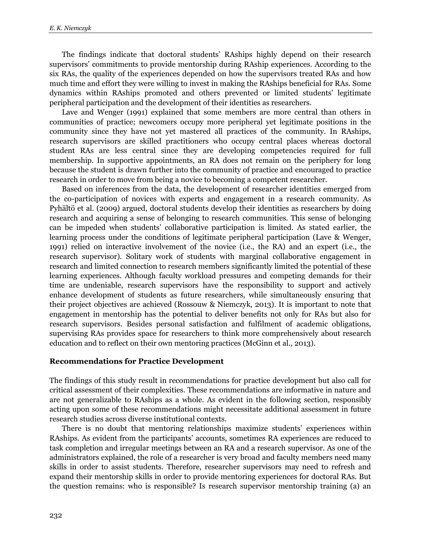The findings indicate that doctoral students' RAships highly depend on their research supervisors' commitments to provide mentorship during RAship experiences. According to the six RAs, the quality of the experiences depended on how the supervisors treated RAs and how much time and effort they were willing to invest in making the RAships beneficial for RAs. Some dynamics within RAships promoted and others prevented or limited students' legitimate peripheral participation and the development of their identities as researchers.

Lave and Wenger (1991) explained that some members are more central than others in communities of practice; newcomers occupy more peripheral yet legitimate positions in the community since they have not yet mastered all practices of the community. In RAships, research supervisors are skilled practitioners who occupy central places whereas doctoral student RAs are less central since they are developing competencies required for full membership. In supportive appointments, an RA does not remain on the periphery for long because the student is drawn further into the community of practice and encouraged to practice research in order to move from being a novice to becoming a competent researcher.

Based on inferences from the data, the development of researcher identities emerged from the co-participation of novices with experts and engagement in a research community. As Pyhältö et al. (2009) argued, doctoral students develop their identities as researchers by doing research and acquiring a sense of belonging to research communities. This sense of belonging can be impeded when students' collaborative participation is limited. As stated earlier, the learning process under the conditions of legitimate peripheral participation (Lave & Wenger, 1991) relied on interactive involvement of the novice (i.e., the RA) and an expert (i.e., the research supervisor). Solitary work of students with marginal collaborative engagement in research and limited connection to research members significantly limited the potential of these learning experiences. Although faculty workload pressures and competing demands for their time are undeniable, research supervisors have the responsibility to support and actively enhance development of students as future researchers, while simultaneously ensuring that their project objectives are achieved (Rossouw & Niemczyk, 2013). It is important to note that engagement in mentorship has the potential to deliver benefits not only for RAs but also for research supervisors. Besides personal satisfaction and fulfilment of academic obligations, supervising RAs provides space for researchers to think more comprehensively about research education and to reflect on their own mentoring practices (McGinn et al., 2013).

#### **Recommendations for Practice Development**

The findings of this study result in recommendations for practice development but also call for critical assessment of their complexities. These recommendations are informative in nature and are not generalizable to RAships as a whole. As evident in the following section, responsibly acting upon some of these recommendations might necessitate additional assessment in future research studies across diverse institutional contexts.

There is no doubt that mentoring relationships maximize students' experiences within RAships. As evident from the participants' accounts, sometimes RA experiences are reduced to task completion and irregular meetings between an RA and a research supervisor. As one of the administrators explained, the role of a researcher is very broad and faculty members need many skills in order to assist students. Therefore, researcher supervisors may need to refresh and expand their mentorship skills in order to provide mentoring experiences for doctoral RAs. But the question remains: who is responsible? Is research supervisor mentorship training (a) an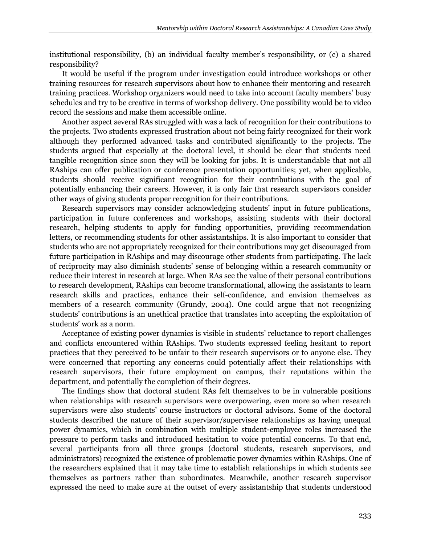institutional responsibility, (b) an individual faculty member's responsibility, or (c) a shared responsibility?

It would be useful if the program under investigation could introduce workshops or other training resources for research supervisors about how to enhance their mentoring and research training practices. Workshop organizers would need to take into account faculty members' busy schedules and try to be creative in terms of workshop delivery. One possibility would be to video record the sessions and make them accessible online.

Another aspect several RAs struggled with was a lack of recognition for their contributions to the projects. Two students expressed frustration about not being fairly recognized for their work although they performed advanced tasks and contributed significantly to the projects. The students argued that especially at the doctoral level, it should be clear that students need tangible recognition since soon they will be looking for jobs. It is understandable that not all RAships can offer publication or conference presentation opportunities; yet, when applicable, students should receive significant recognition for their contributions with the goal of potentially enhancing their careers. However, it is only fair that research supervisors consider other ways of giving students proper recognition for their contributions.

Research supervisors may consider acknowledging students' input in future publications, participation in future conferences and workshops, assisting students with their doctoral research, helping students to apply for funding opportunities, providing recommendation letters, or recommending students for other assistantships. It is also important to consider that students who are not appropriately recognized for their contributions may get discouraged from future participation in RAships and may discourage other students from participating. The lack of reciprocity may also diminish students' sense of belonging within a research community or reduce their interest in research at large. When RAs see the value of their personal contributions to research development, RAships can become transformational, allowing the assistants to learn research skills and practices, enhance their self-confidence, and envision themselves as members of a research community (Grundy, 2004). One could argue that not recognizing students' contributions is an unethical practice that translates into accepting the exploitation of students' work as a norm.

Acceptance of existing power dynamics is visible in students' reluctance to report challenges and conflicts encountered within RAships. Two students expressed feeling hesitant to report practices that they perceived to be unfair to their research supervisors or to anyone else. They were concerned that reporting any concerns could potentially affect their relationships with research supervisors, their future employment on campus, their reputations within the department, and potentially the completion of their degrees.

The findings show that doctoral student RAs felt themselves to be in vulnerable positions when relationships with research supervisors were overpowering, even more so when research supervisors were also students' course instructors or doctoral advisors. Some of the doctoral students described the nature of their supervisor/supervisee relationships as having unequal power dynamics, which in combination with multiple student-employee roles increased the pressure to perform tasks and introduced hesitation to voice potential concerns. To that end, several participants from all three groups (doctoral students, research supervisors, and administrators) recognized the existence of problematic power dynamics within RAships. One of the researchers explained that it may take time to establish relationships in which students see themselves as partners rather than subordinates. Meanwhile, another research supervisor expressed the need to make sure at the outset of every assistantship that students understood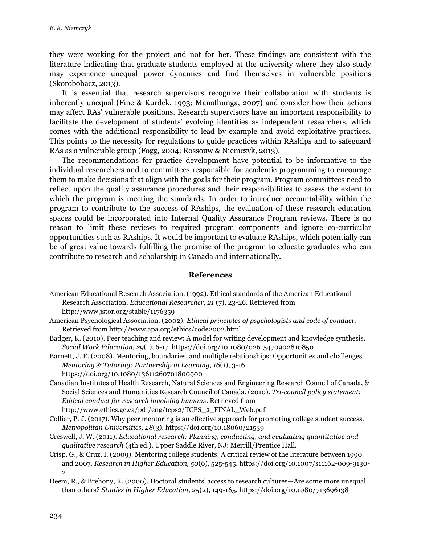they were working for the project and not for her. These findings are consistent with the literature indicating that graduate students employed at the university where they also study may experience unequal power dynamics and find themselves in vulnerable positions (Skorobohacz, 2013).

It is essential that research supervisors recognize their collaboration with students is inherently unequal (Fine & Kurdek, 1993; Manathunga, 2007) and consider how their actions may affect RAs' vulnerable positions. Research supervisors have an important responsibility to facilitate the development of students' evolving identities as independent researchers, which comes with the additional responsibility to lead by example and avoid exploitative practices. This points to the necessity for regulations to guide practices within RAships and to safeguard RAs as a vulnerable group (Fogg, 2004; Rossouw & Niemczyk, 2013).

The recommendations for practice development have potential to be informative to the individual researchers and to committees responsible for academic programming to encourage them to make decisions that align with the goals for their program. Program committees need to reflect upon the quality assurance procedures and their responsibilities to assess the extent to which the program is meeting the standards. In order to introduce accountability within the program to contribute to the success of RAships, the evaluation of these research education spaces could be incorporated into Internal Quality Assurance Program reviews. There is no reason to limit these reviews to required program components and ignore co-curricular opportunities such as RAships. It would be important to evaluate RAships, which potentially can be of great value towards fulfilling the promise of the program to educate graduates who can contribute to research and scholarship in Canada and internationally.

#### **References**

- American Psychological Association. (2002). *Ethical principles of psychologists and code of conduct*. Retrieved from http://www.apa.org/ethics/code2002.html
- Badger, K. (2010). Peer teaching and review: A model for writing development and knowledge synthesis. *Social Work Education, 29*(1), 6-17. https://doi.org/10.1080/02615470902810850
- Barnett, J. E. (2008). Mentoring, boundaries, and multiple relationships: Opportunities and challenges. *Mentoring & Tutoring: Partnership in Learning, 16*(1), 3-16.

https://doi.org/10.1080/13611260701800900

- Canadian Institutes of Health Research, Natural Sciences and Engineering Research Council of Canada, & Social Sciences and Humanities Research Council of Canada. (2010). *Tri-council policy statement: Ethical conduct for research involving humans*. Retrieved from http://www.ethics.gc.ca/pdf/eng/tcps2/TCPS\_2\_FINAL\_Web.pdf
- Collier, P. J. (2017). Why peer mentoring is an effective approach for promoting college student success. *Metropolitan Universities, 28*(3). https://doi.org/10.18060/21539
- Creswell, J. W. (2011). *Educational research: Planning, conducting, and evaluating quantitative and qualitative research* (4th ed.). Upper Saddle River, NJ: Merrill/Prentice Hall.
- Crisp, G., & Cruz, I. (2009). Mentoring college students: A critical review of the literature between 1990 and 2007. *Research in Higher Education, 50*(6), 525-545. https://doi.org/10.1007/s11162-009-9130- 2

Deem, R., & Brehony, K. (2000). Doctoral students' access to research cultures—Are some more unequal than others? *Studies in Higher Education, 25*(2), 149-165. https://doi.org/10.1080/713696138

American Educational Research Association. (1992). Ethical standards of the American Educational Research Association. *Educational Researcher, 21* (7), 23-26. Retrieved from http://www.jstor.org/stable/1176359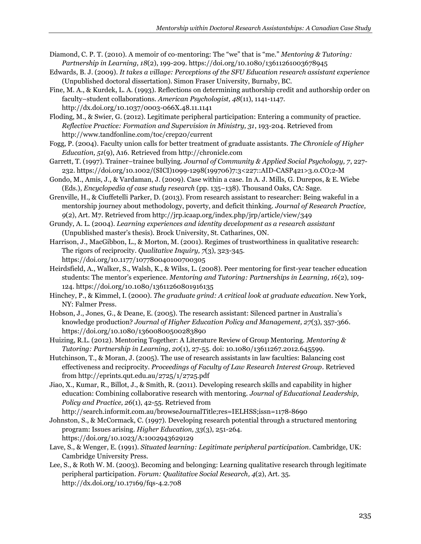Diamond, C. P. T. (2010). A memoir of co-mentoring: The "we" that is "me." *Mentoring & Tutoring: Partnership in Learning, 18*(2), 199-209. https://doi.org/10.1080/13611261003678945

- Edwards, B. J. (2009). *It takes a village: Perceptions of the SFU Education research assistant experience* (Unpublished doctoral dissertation). Simon Fraser University, Burnaby, BC.
- Fine, M. A., & Kurdek, L. A. (1993). Reflections on determining authorship credit and authorship order on faculty–student collaborations. *American Psychologist, 48*(11), 1141-1147. http://dx.doi.org/10.1037/0003-066X.48.11.1141

Floding, M., & Swier, G. (2012). Legitimate peripheral participation: Entering a community of practice. *Reflective Practice: Formation and Supervision in Ministry, 31*, 193-204. Retrieved from http://www.tandfonline.com/toc/crep20/current

Fogg, P. (2004). Faculty union calls for better treatment of graduate assistants. *The Chronicle of Higher Education, 51*(9), A16. Retrieved from http://chronicle.com

- Garrett, T. (1997). Trainer–trainee bullying. *Journal of Community & Applied Social Psychology, 7*, 227- 232. https://doi.org/10.1002/(SICI)1099-1298(199706)7:3<227::AID-CASP421>3.0.CO;2-M
- Gondo, M., Amis, J., & Vardaman, J. (2009). Case within a case. In A. J. Mills, G. Durepos, & E. Wiebe (Eds.), *Encyclopedia of case study research* (pp. 135–138). Thousand Oaks, CA: Sage.

Grenville, H., & Ciuffetelli Parker, D. (2013). From research assistant to researcher: Being wakeful in a mentorship journey about methodology, poverty, and deficit thinking. *Journal of Research Practice, 9*(2), Art. M7. Retrieved from http://jrp.icaap.org/index.php/jrp/article/view/349

Grundy, A. L. (2004). *Learning experiences and identity development as a research assistant* (Unpublished master's thesis). Brock University, St. Catharines, ON.

Harrison, J., MacGibbon, L., & Morton, M. (2001). Regimes of trustworthiness in qualitative research: The rigors of reciprocity. *Qualitative Inquiry, 7*(3), 323-345. https://doi.org/10.1177/107780040100700305

Heirdsfield, A., Walker, S., Walsh, K., & Wilss, L. (2008). Peer mentoring for first-year teacher education students: The mentor's experience. *Mentoring and Tutoring: Partnerships in Learning, 16*(2), 109- 124. https://doi.org/10.1080/13611260801916135

Hinchey, P., & Kimmel, I. (2000). *The graduate grind: A critical look at graduate education*. New York, NY: Falmer Press.

Hobson, J., Jones, G., & Deane, E. (2005). The research assistant: Silenced partner in Australia's knowledge production? *Journal of Higher Education Policy and Management, 27*(3), 357-366. https://doi.org/10.1080/13600800500283890

Huizing, R.L. (2012). Mentoring Together: A Literature Review of Group Mentoring. *Mentoring & Tutoring: Partnership in Learning, 20*(1), 27-55. doi: 10.1080/13611267.2012.645599.

Hutchinson, T., & Moran, J. (2005). The use of research assistants in law faculties: Balancing cost effectiveness and reciprocity. *Proceedings of Faculty of Law Research Interest Group*. Retrieved from http://eprints.qut.edu.au/2725/1/2725.pdf

Jiao, X., Kumar, R., Billot, J., & Smith, R. (2011). Developing research skills and capability in higher education: Combining collaborative research with mentoring. *Journal of Educational Leadership, Policy and Practice, 26*(1), 42-55. Retrieved from http://search.informit.com.au/browseJournalTitle;res=IELHSS;issn=1178-8690

Johnston, S., & McCormack, C. (1997). Developing research potential through a structured mentoring program: Issues arising. *Higher Education, 33*(3), 251-264. https://doi.org/10.1023/A:1002943629129

Lave, S., & Wenger, E. (1991). *Situated learning: Legitimate peripheral participation*. Cambridge, UK: Cambridge University Press.

Lee, S., & Roth W. M. (2003). Becoming and belonging: Learning qualitative research through legitimate peripheral participation. *Forum: Qualitative Social Research, 4*(2), Art. 35. http://dx.doi.org/10.17169/fqs-4.2.708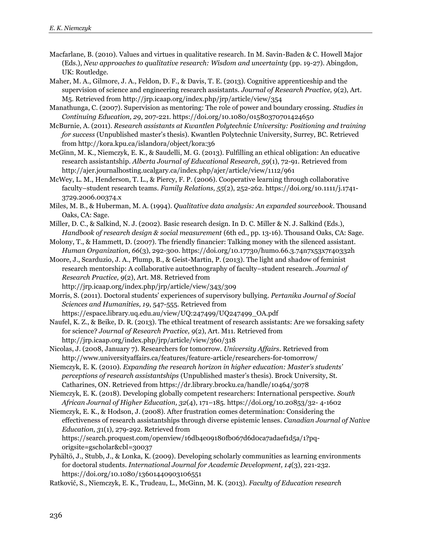- Macfarlane, B. (2010). Values and virtues in qualitative research. In M. Savin-Baden & C. Howell Major (Eds.), *New approaches to qualitative research: Wisdom and uncertainty* (pp. 19-27). Abingdon, UK: Routledge.
- Maher, M. A., Gilmore, J. A., Feldon, D. F., & Davis, T. E. (2013). Cognitive apprenticeship and the supervision of science and engineering research assistants. *Journal of Research Practice, 9*(2), Art. M5. Retrieved from http://jrp.icaap.org/index.php/jrp/article/view/354
- Manathunga, C. (2007). Supervision as mentoring: The role of power and boundary crossing. *Studies in Continuing Education, 29*, 207-221. https://doi.org/10.1080/01580370701424650
- McBurnie, A. (2011). *Research assistants at Kwantlen Polytechnic University: Positioning and training for success* (Unpublished master's thesis). Kwantlen Polytechnic University, Surrey, BC. Retrieved from http://kora.kpu.ca/islandora/object/kora:36
- McGinn, M. K., Niemczyk, E. K., & Saudelli, M. G. (2013). Fulfilling an ethical obligation: An educative research assistantship. *Alberta Journal of Educational Research, 59*(1), 72-91. Retrieved from http://ajer.journalhosting.ucalgary.ca/index.php/ajer/article/view/1112/961
- McWey, L. M., Henderson, T. L., & Piercy, F. P. (2006). Cooperative learning through collaborative faculty–student research teams. *Family Relations, 55*(2), 252-262. https://doi.org/10.1111/j.1741- 3729.2006.00374.x
- Miles, M. B., & Huberman, M. A. (1994). *Qualitative data analysis: An expanded sourcebook*. Thousand Oaks, CA: Sage.
- Miller, D. C., & Salkind, N. J. (2002). Basic research design. In D. C. Miller & N. J. Salkind (Eds.), *Handbook of research design & social measurement* (6th ed., pp. 13-16). Thousand Oaks, CA: Sage.
- Molony, T., & Hammett, D. (2007). The friendly financier: Talking money with the silenced assistant. *Human Organization, 66*(3), 292-300. https://doi.org/10.17730/humo.66.3.74n7x53x7r40332h
- Moore, J., Scarduzio, J. A., Plump, B., & Geist-Martin, P. (2013). The light and shadow of feminist research mentorship: A collaborative autoethnography of faculty–student research. *Journal of Research Practice, 9*(2), Art. M8. Retrieved from
	- http://jrp.icaap.org/index.php/jrp/article/view/343/309
- Morris, S. (2011). Doctoral students' experiences of supervisory bullying. *Pertanika Journal of Social Sciences and Humanities, 19*, 547-555. Retrieved from

https://espace.library.uq.edu.au/view/UQ:247499/UQ247499\_OA.pdf

- Naufel, K. Z., & Beike, D. R. (2013). The ethical treatment of research assistants: Are we forsaking safety for science? *Journal of Research Practice, 9*(2), Art. M11. Retrieved from http://jrp.icaap.org/index.php/jrp/article/view/360/318
- Nicolas, J. (2008, January 7). Researchers for tomorrow. *University Affairs*. Retrieved from http://www.universityaffairs.ca/features/feature-article/researchers-for-tomorrow/
- Niemczyk, E. K. (2010). *Expanding the research horizon in higher education: Master's students' perceptions of research assistantships* (Unpublished master's thesis). Brock University, St. Catharines, ON. Retrieved from https://dr.library.brocku.ca/handle/10464/3078
- Niemczyk, E. K. (2018). Developing globally competent researchers: International perspective. *South African Journal of Higher Education, 32*(4), 171–185. https://doi.org/10.20853/32- 4-1602
- Niemczyk, E. K., & Hodson, J. (2008). After frustration comes determination: Considering the effectiveness of research assistantships through diverse epistemic lenses. *Canadian Journal of Native Education, 3*1(1), 279-292. Retrieved from https://search.proquest.com/openview/16db4e09180fb067d6d0ca7adaef1d5a/1?pqorigsite=gscholar&cbl=30037
- Pyhältö, J., Stubb, J., & Lonka, K. (2009). Developing scholarly communities as learning environments for doctoral students. *International Journal for Academic Development, 14*(3), 221-232. https://doi.org/10.1080/13601440903106551
- Ratković, S., Niemczyk, E. K., Trudeau, L., McGinn, M. K. (2013). *Faculty of Education research*